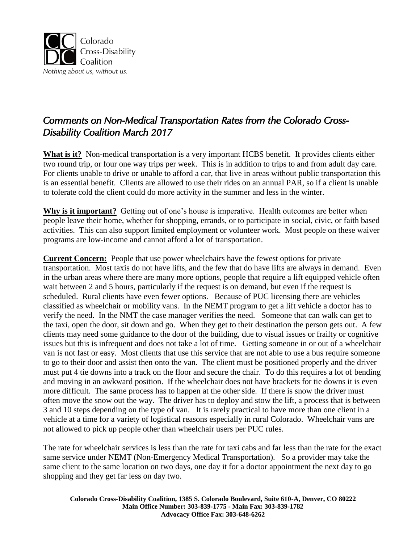

# *Comments on Non-Medical Transportation Rates from the Colorado Cross-Disability Coalition March 2017*

**What is it?** Non-medical transportation is a very important HCBS benefit. It provides clients either two round trip, or four one way trips per week. This is in addition to trips to and from adult day care. For clients unable to drive or unable to afford a car, that live in areas without public transportation this is an essential benefit. Clients are allowed to use their rides on an annual PAR, so if a client is unable to tolerate cold the client could do more activity in the summer and less in the winter.

**Why is it important?** Getting out of one's house is imperative. Health outcomes are better when people leave their home, whether for shopping, errands, or to participate in social, civic, or faith based activities. This can also support limited employment or volunteer work. Most people on these waiver programs are low-income and cannot afford a lot of transportation.

**Current Concern:** People that use power wheelchairs have the fewest options for private transportation. Most taxis do not have lifts, and the few that do have lifts are always in demand. Even in the urban areas where there are many more options, people that require a lift equipped vehicle often wait between 2 and 5 hours, particularly if the request is on demand, but even if the request is scheduled. Rural clients have even fewer options. Because of PUC licensing there are vehicles classified as wheelchair or mobility vans. In the NEMT program to get a lift vehicle a doctor has to verify the need. In the NMT the case manager verifies the need. Someone that can walk can get to the taxi, open the door, sit down and go. When they get to their destination the person gets out. A few clients may need some guidance to the door of the building, due to visual issues or frailty or cognitive issues but this is infrequent and does not take a lot of time. Getting someone in or out of a wheelchair van is not fast or easy. Most clients that use this service that are not able to use a bus require someone to go to their door and assist then onto the van. The client must be positioned properly and the driver must put 4 tie downs into a track on the floor and secure the chair. To do this requires a lot of bending and moving in an awkward position. If the wheelchair does not have brackets for tie downs it is even more difficult. The same process has to happen at the other side. If there is snow the driver must often move the snow out the way. The driver has to deploy and stow the lift, a process that is between 3 and 10 steps depending on the type of van. It is rarely practical to have more than one client in a vehicle at a time for a variety of logistical reasons especially in rural Colorado. Wheelchair vans are not allowed to pick up people other than wheelchair users per PUC rules.

The rate for wheelchair services is less than the rate for taxi cabs and far less than the rate for the exact same service under NEMT (Non-Emergency Medical Transportation). So a provider may take the same client to the same location on two days, one day it for a doctor appointment the next day to go shopping and they get far less on day two.

**Colorado Cross-Disability Coalition, 1385 S. Colorado Boulevard, Suite 610-A, Denver, CO 80222 Main Office Number: 303-839-1775 - Main Fax: 303-839-1782 Advocacy Office Fax: 303-648-6262**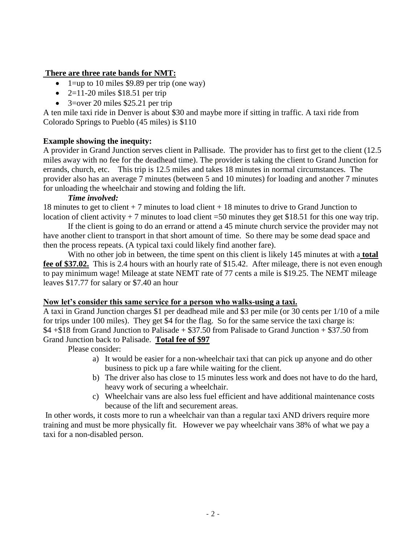### **There are three rate bands for NMT:**

- 1=up to 10 miles \$9.89 per trip (one way)
- $\bullet$  2=11-20 miles \$18.51 per trip
- $\bullet$  3=over 20 miles \$25.21 per trip

A ten mile taxi ride in Denver is about \$30 and maybe more if sitting in traffic. A taxi ride from Colorado Springs to Pueblo (45 miles) is \$110

## **Example showing the inequity:**

A provider in Grand Junction serves client in Pallisade. The provider has to first get to the client (12.5 miles away with no fee for the deadhead time). The provider is taking the client to Grand Junction for errands, church, etc. This trip is 12.5 miles and takes 18 minutes in normal circumstances. The provider also has an average 7 minutes (between 5 and 10 minutes) for loading and another 7 minutes for unloading the wheelchair and stowing and folding the lift.

### *Time involved:*

18 minutes to get to client + 7 minutes to load client + 18 minutes to drive to Grand Junction to location of client activity  $+7$  minutes to load client =50 minutes they get \$18.51 for this one way trip.

If the client is going to do an errand or attend a 45 minute church service the provider may not have another client to transport in that short amount of time. So there may be some dead space and then the process repeats. (A typical taxi could likely find another fare).

With no other job in between, the time spent on this client is likely 145 minutes at with a **total fee of \$37.02.** This is 2.4 hours with an hourly rate of \$15.42. After mileage, there is not even enough to pay minimum wage! Mileage at state NEMT rate of 77 cents a mile is \$19.25. The NEMT mileage leaves \$17.77 for salary or \$7.40 an hour

### **Now let's consider this same service for a person who walks-using a taxi.**

A taxi in Grand Junction charges \$1 per deadhead mile and \$3 per mile (or 30 cents per 1/10 of a mile for trips under 100 miles). They get \$4 for the flag. So for the same service the taxi charge is: \$4 +\$18 from Grand Junction to Palisade + \$37.50 from Palisade to Grand Junction + \$37.50 from Grand Junction back to Palisade. **Total fee of \$97** 

Please consider:

- a) It would be easier for a non-wheelchair taxi that can pick up anyone and do other business to pick up a fare while waiting for the client.
- b) The driver also has close to 15 minutes less work and does not have to do the hard, heavy work of securing a wheelchair.
- c) Wheelchair vans are also less fuel efficient and have additional maintenance costs because of the lift and securement areas.

In other words, it costs more to run a wheelchair van than a regular taxi AND drivers require more training and must be more physically fit. However we pay wheelchair vans 38% of what we pay a taxi for a non-disabled person.